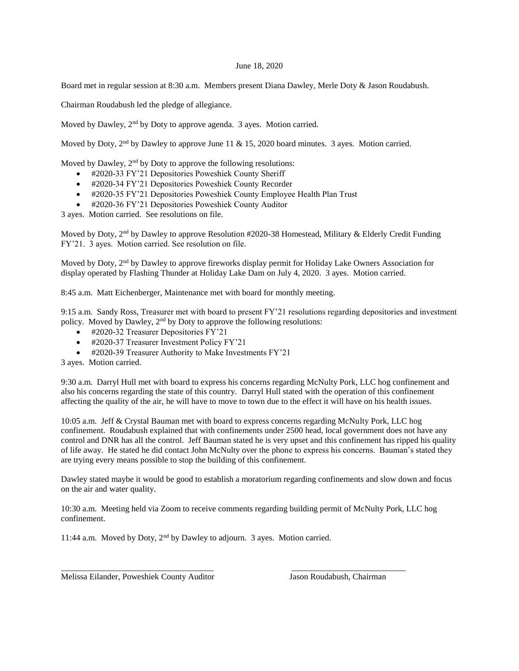## June 18, 2020

Board met in regular session at 8:30 a.m. Members present Diana Dawley, Merle Doty & Jason Roudabush.

Chairman Roudabush led the pledge of allegiance.

Moved by Dawley, 2<sup>nd</sup> by Doty to approve agenda. 3 ayes. Motion carried.

Moved by Doty,  $2<sup>nd</sup>$  by Dawley to approve June 11 & 15, 2020 board minutes. 3 ayes. Motion carried.

Moved by Dawley,  $2<sup>nd</sup>$  by Doty to approve the following resolutions:

- #2020-33 FY'21 Depositories Poweshiek County Sheriff
- #2020-34 FY'21 Depositories Poweshiek County Recorder
- #2020-35 FY'21 Depositories Poweshiek County Employee Health Plan Trust
- #2020-36 FY'21 Depositories Poweshiek County Auditor

3 ayes. Motion carried. See resolutions on file.

Moved by Doty, 2<sup>nd</sup> by Dawley to approve Resolution #2020-38 Homestead, Military & Elderly Credit Funding FY'21. 3 ayes. Motion carried. See resolution on file.

Moved by Doty, 2<sup>nd</sup> by Dawley to approve fireworks display permit for Holiday Lake Owners Association for display operated by Flashing Thunder at Holiday Lake Dam on July 4, 2020. 3 ayes. Motion carried.

8:45 a.m. Matt Eichenberger, Maintenance met with board for monthly meeting.

9:15 a.m. Sandy Ross, Treasurer met with board to present FY'21 resolutions regarding depositories and investment policy. Moved by Dawley, 2nd by Doty to approve the following resolutions:

- $\bullet$  #2020-32 Treasurer Depositories FY'21
- $\bullet$  #2020-37 Treasurer Investment Policy FY'21
- #2020-39 Treasurer Authority to Make Investments FY'21

3 ayes. Motion carried.

9:30 a.m. Darryl Hull met with board to express his concerns regarding McNulty Pork, LLC hog confinement and also his concerns regarding the state of this country. Darryl Hull stated with the operation of this confinement affecting the quality of the air, he will have to move to town due to the effect it will have on his health issues.

10:05 a.m. Jeff & Crystal Bauman met with board to express concerns regarding McNulty Pork, LLC hog confinement. Roudabush explained that with confinements under 2500 head, local government does not have any control and DNR has all the control. Jeff Bauman stated he is very upset and this confinement has ripped his quality of life away. He stated he did contact John McNulty over the phone to express his concerns. Bauman's stated they are trying every means possible to stop the building of this confinement.

Dawley stated maybe it would be good to establish a moratorium regarding confinements and slow down and focus on the air and water quality.

10:30 a.m. Meeting held via Zoom to receive comments regarding building permit of McNulty Pork, LLC hog confinement.

\_\_\_\_\_\_\_\_\_\_\_\_\_\_\_\_\_\_\_\_\_\_\_\_\_\_\_\_\_\_\_\_\_\_\_\_ \_\_\_\_\_\_\_\_\_\_\_\_\_\_\_\_\_\_\_\_\_\_\_\_\_\_\_

11:44 a.m. Moved by Doty, 2nd by Dawley to adjourn. 3 ayes. Motion carried.

Melissa Eilander, Poweshiek County Auditor Jason Roudabush, Chairman